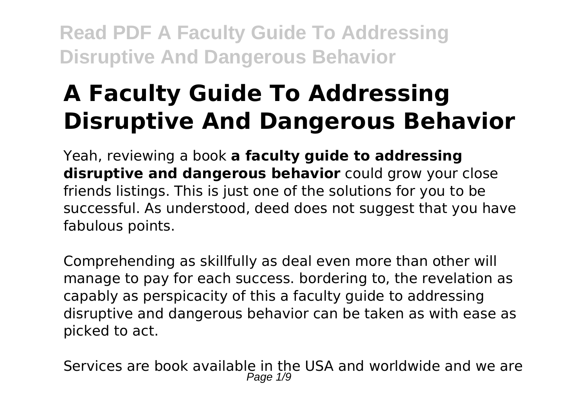# **A Faculty Guide To Addressing Disruptive And Dangerous Behavior**

Yeah, reviewing a book **a faculty guide to addressing disruptive and dangerous behavior** could grow your close friends listings. This is just one of the solutions for you to be successful. As understood, deed does not suggest that you have fabulous points.

Comprehending as skillfully as deal even more than other will manage to pay for each success. bordering to, the revelation as capably as perspicacity of this a faculty guide to addressing disruptive and dangerous behavior can be taken as with ease as picked to act.

Services are book available in the USA and worldwide and we are Page 1/9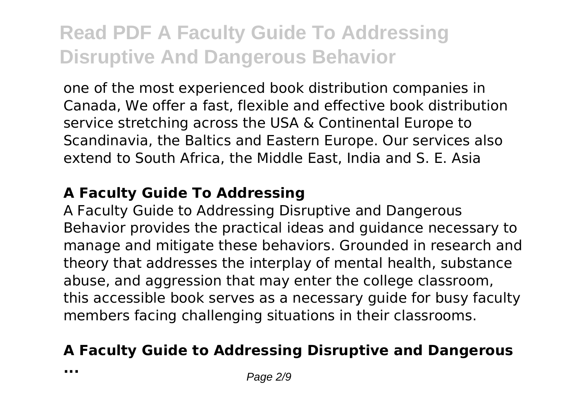one of the most experienced book distribution companies in Canada, We offer a fast, flexible and effective book distribution service stretching across the USA & Continental Europe to Scandinavia, the Baltics and Eastern Europe. Our services also extend to South Africa, the Middle East, India and S. E. Asia

#### **A Faculty Guide To Addressing**

A Faculty Guide to Addressing Disruptive and Dangerous Behavior provides the practical ideas and guidance necessary to manage and mitigate these behaviors. Grounded in research and theory that addresses the interplay of mental health, substance abuse, and aggression that may enter the college classroom, this accessible book serves as a necessary guide for busy faculty members facing challenging situations in their classrooms.

## **A Faculty Guide to Addressing Disruptive and Dangerous**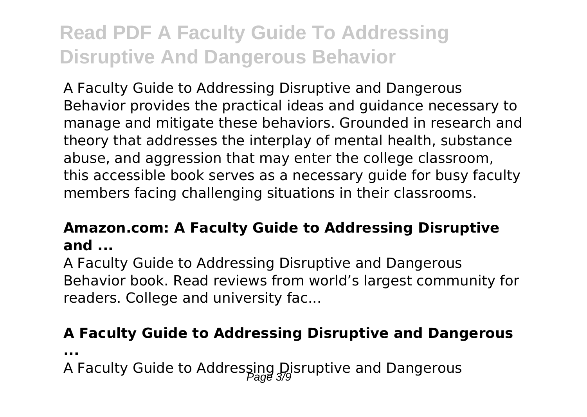A Faculty Guide to Addressing Disruptive and Dangerous Behavior provides the practical ideas and guidance necessary to manage and mitigate these behaviors. Grounded in research and theory that addresses the interplay of mental health, substance abuse, and aggression that may enter the college classroom, this accessible book serves as a necessary guide for busy faculty members facing challenging situations in their classrooms.

### **Amazon.com: A Faculty Guide to Addressing Disruptive and ...**

A Faculty Guide to Addressing Disruptive and Dangerous Behavior book. Read reviews from world's largest community for readers. College and university fac...

### **A Faculty Guide to Addressing Disruptive and Dangerous**

**...**

A Faculty Guide to Addressing Disruptive and Dangerous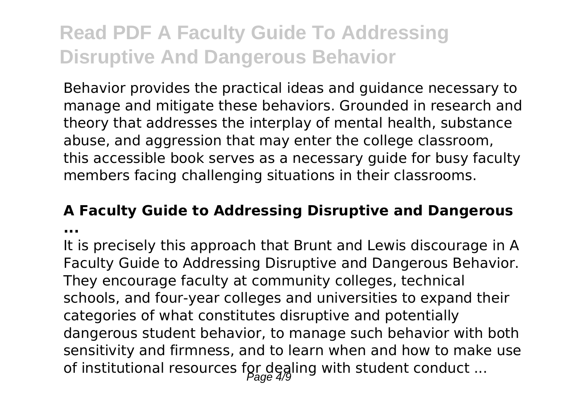Behavior provides the practical ideas and guidance necessary to manage and mitigate these behaviors. Grounded in research and theory that addresses the interplay of mental health, substance abuse, and aggression that may enter the college classroom, this accessible book serves as a necessary guide for busy faculty members facing challenging situations in their classrooms.

# **A Faculty Guide to Addressing Disruptive and Dangerous**

**...**

It is precisely this approach that Brunt and Lewis discourage in A Faculty Guide to Addressing Disruptive and Dangerous Behavior. They encourage faculty at community colleges, technical schools, and four-year colleges and universities to expand their categories of what constitutes disruptive and potentially dangerous student behavior, to manage such behavior with both sensitivity and firmness, and to learn when and how to make use of institutional resources for dealing with student conduct ...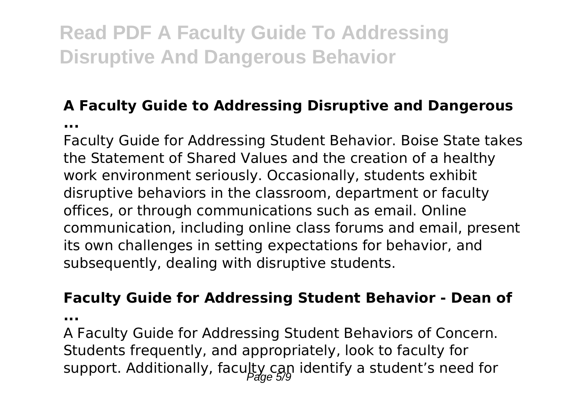## **A Faculty Guide to Addressing Disruptive and Dangerous**

**...**

Faculty Guide for Addressing Student Behavior. Boise State takes the Statement of Shared Values and the creation of a healthy work environment seriously. Occasionally, students exhibit disruptive behaviors in the classroom, department or faculty offices, or through communications such as email. Online communication, including online class forums and email, present its own challenges in setting expectations for behavior, and subsequently, dealing with disruptive students.

#### **Faculty Guide for Addressing Student Behavior - Dean of**

**...**

A Faculty Guide for Addressing Student Behaviors of Concern. Students frequently, and appropriately, look to faculty for support. Additionally, faculty can identify a student's need for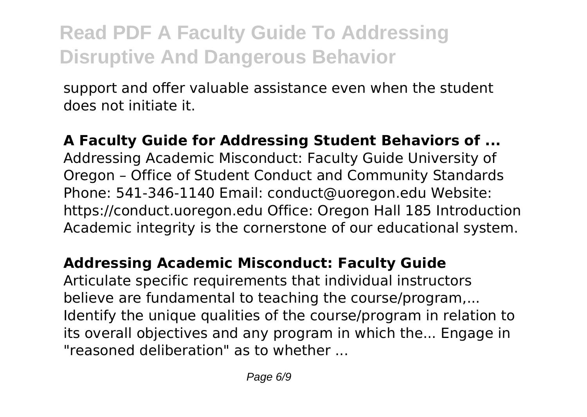support and offer valuable assistance even when the student does not initiate it.

**A Faculty Guide for Addressing Student Behaviors of ...** Addressing Academic Misconduct: Faculty Guide University of Oregon – Office of Student Conduct and Community Standards Phone: 541-346-1140 Email: conduct@uoregon.edu Website: https://conduct.uoregon.edu Office: Oregon Hall 185 Introduction Academic integrity is the cornerstone of our educational system.

## **Addressing Academic Misconduct: Faculty Guide**

Articulate specific requirements that individual instructors believe are fundamental to teaching the course/program,... Identify the unique qualities of the course/program in relation to its overall objectives and any program in which the... Engage in "reasoned deliberation" as to whether ...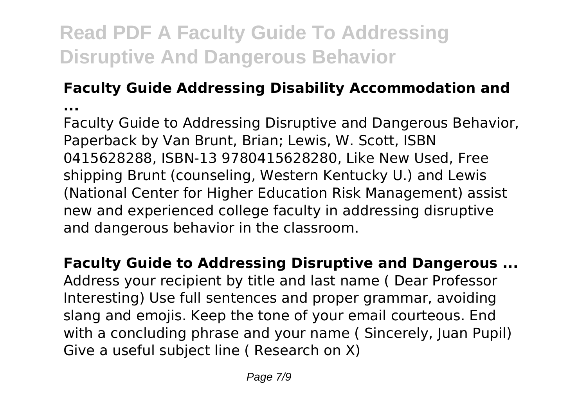## **Faculty Guide Addressing Disability Accommodation and**

**...**

Faculty Guide to Addressing Disruptive and Dangerous Behavior, Paperback by Van Brunt, Brian; Lewis, W. Scott, ISBN 0415628288, ISBN-13 9780415628280, Like New Used, Free shipping Brunt (counseling, Western Kentucky U.) and Lewis (National Center for Higher Education Risk Management) assist new and experienced college faculty in addressing disruptive and dangerous behavior in the classroom.

**Faculty Guide to Addressing Disruptive and Dangerous ...** Address your recipient by title and last name ( Dear Professor Interesting) Use full sentences and proper grammar, avoiding slang and emojis. Keep the tone of your email courteous. End with a concluding phrase and your name (Sincerely, Juan Pupil) Give a useful subject line ( Research on X)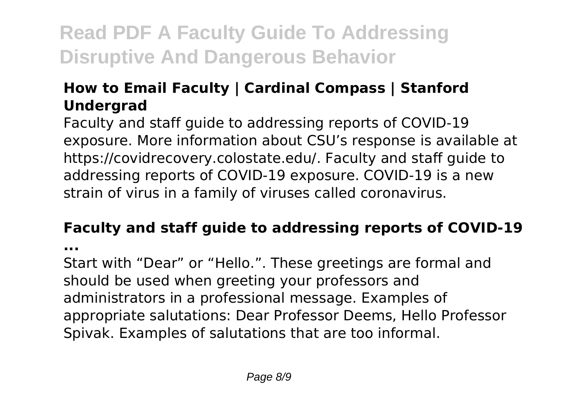## **How to Email Faculty | Cardinal Compass | Stanford Undergrad**

Faculty and staff guide to addressing reports of COVID-19 exposure. More information about CSU's response is available at https://covidrecovery.colostate.edu/. Faculty and staff guide to addressing reports of COVID-19 exposure. COVID-19 is a new strain of virus in a family of viruses called coronavirus.

## **Faculty and staff guide to addressing reports of COVID-19**

**...**

Start with "Dear" or "Hello.". These greetings are formal and should be used when greeting your professors and administrators in a professional message. Examples of appropriate salutations: Dear Professor Deems, Hello Professor Spivak. Examples of salutations that are too informal.